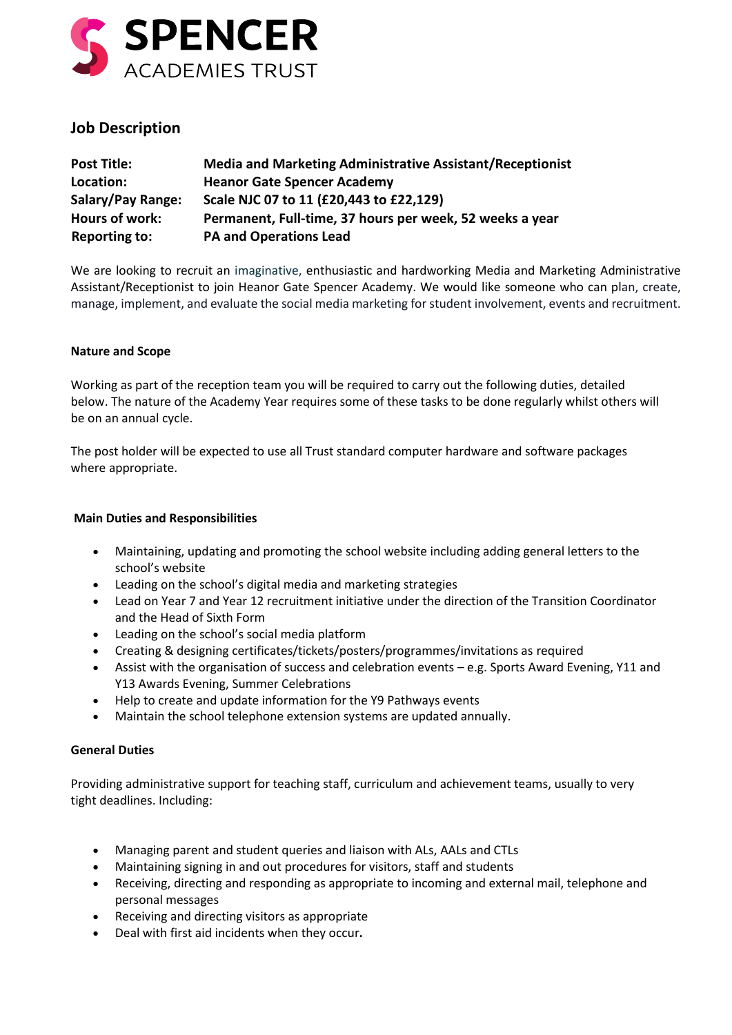

# **Job Description**

| <b>Post Title:</b>       | <b>Media and Marketing Administrative Assistant/Receptionist</b> |
|--------------------------|------------------------------------------------------------------|
| Location:                | <b>Heanor Gate Spencer Academy</b>                               |
| <b>Salary/Pay Range:</b> | Scale NJC 07 to 11 (£20,443 to £22,129)                          |
| Hours of work:           | Permanent, Full-time, 37 hours per week, 52 weeks a year         |
| <b>Reporting to:</b>     | <b>PA and Operations Lead</b>                                    |

We are looking to recruit an imaginative, enthusiastic and hardworking Media and Marketing Administrative Assistant/Receptionist to join Heanor Gate Spencer Academy. We would like someone who can plan, create, manage, implement, and evaluate the social media marketing for student involvement, events and recruitment.

# **Nature and Scope**

Working as part of the reception team you will be required to carry out the following duties, detailed below. The nature of the Academy Year requires some of these tasks to be done regularly whilst others will be on an annual cycle.

The post holder will be expected to use all Trust standard computer hardware and software packages where appropriate.

## **Main Duties and Responsibilities**

- Maintaining, updating and promoting the school website including adding general letters to the school's website
- Leading on the school's digital media and marketing strategies
- Lead on Year 7 and Year 12 recruitment initiative under the direction of the Transition Coordinator and the Head of Sixth Form
- Leading on the school's social media platform
- Creating & designing certificates/tickets/posters/programmes/invitations as required
- Assist with the organisation of success and celebration events e.g. Sports Award Evening, Y11 and Y13 Awards Evening, Summer Celebrations
- Help to create and update information for the Y9 Pathways events
- Maintain the school telephone extension systems are updated annually.

### **General Duties**

Providing administrative support for teaching staff, curriculum and achievement teams, usually to very tight deadlines. Including:

- Managing parent and student queries and liaison with ALs, AALs and CTLs
- Maintaining signing in and out procedures for visitors, staff and students
- Receiving, directing and responding as appropriate to incoming and external mail, telephone and personal messages
- Receiving and directing visitors as appropriate
- Deal with first aid incidents when they occur**.**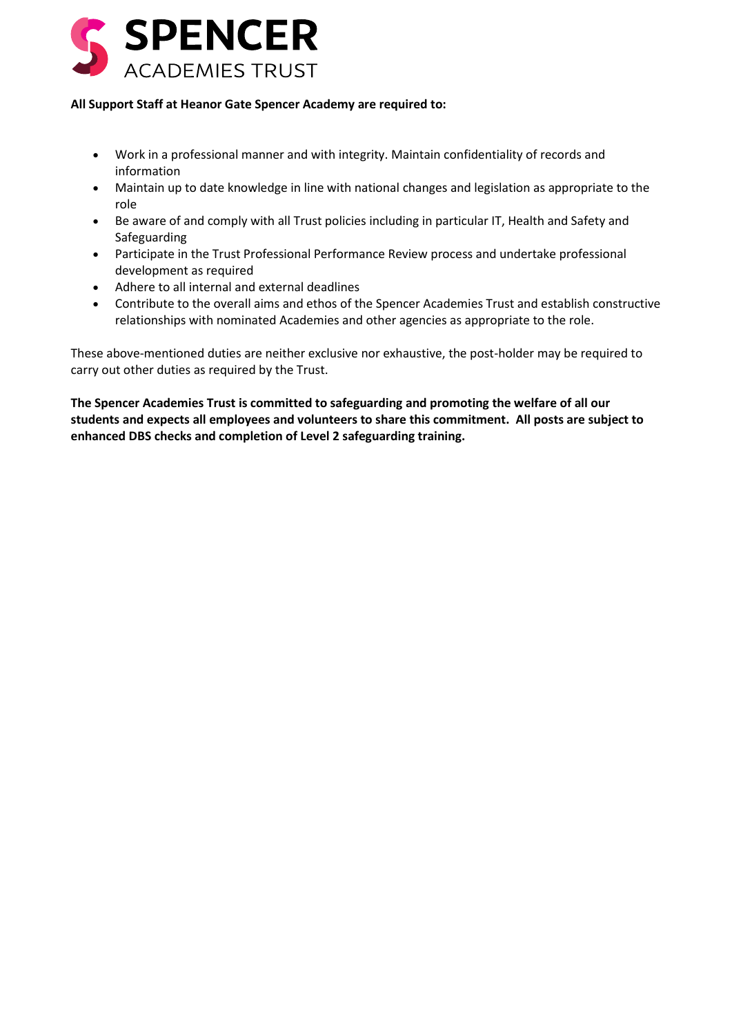

## **All Support Staff at Heanor Gate Spencer Academy are required to:**

- Work in a professional manner and with integrity. Maintain confidentiality of records and information
- Maintain up to date knowledge in line with national changes and legislation as appropriate to the role
- Be aware of and comply with all Trust policies including in particular IT, Health and Safety and Safeguarding
- Participate in the Trust Professional Performance Review process and undertake professional development as required
- Adhere to all internal and external deadlines
- Contribute to the overall aims and ethos of the Spencer Academies Trust and establish constructive relationships with nominated Academies and other agencies as appropriate to the role.

These above-mentioned duties are neither exclusive nor exhaustive, the post-holder may be required to carry out other duties as required by the Trust.

**The Spencer Academies Trust is committed to safeguarding and promoting the welfare of all our students and expects all employees and volunteers to share this commitment. All posts are subject to enhanced DBS checks and completion of Level 2 safeguarding training.**